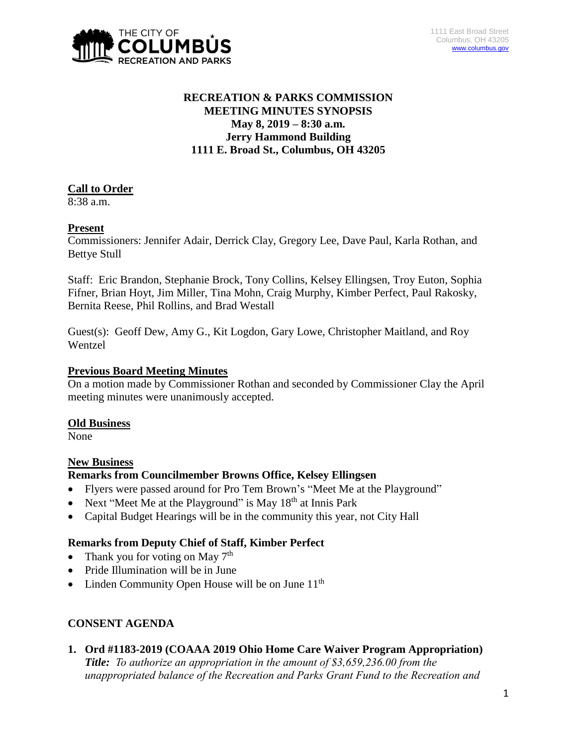

# **RECREATION & PARKS COMMISSION MEETING MINUTES SYNOPSIS May 8, 2019 – 8:30 a.m. Jerry Hammond Building 1111 E. Broad St., Columbus, OH 43205**

# **Call to Order**

8:38 a.m.

# **Present**

Commissioners: Jennifer Adair, Derrick Clay, Gregory Lee, Dave Paul, Karla Rothan, and Bettye Stull

Staff: Eric Brandon, Stephanie Brock, Tony Collins, Kelsey Ellingsen, Troy Euton, Sophia Fifner, Brian Hoyt, Jim Miller, Tina Mohn, Craig Murphy, Kimber Perfect, Paul Rakosky, Bernita Reese, Phil Rollins, and Brad Westall

Guest(s): Geoff Dew, Amy G., Kit Logdon, Gary Lowe, Christopher Maitland, and Roy Wentzel

#### **Previous Board Meeting Minutes**

On a motion made by Commissioner Rothan and seconded by Commissioner Clay the April meeting minutes were unanimously accepted.

# **Old Business**

None

# **New Business**

#### **Remarks from Councilmember Browns Office, Kelsey Ellingsen**

- Flyers were passed around for Pro Tem Brown's "Meet Me at the Playground"
- Next "Meet Me at the Playground" is May  $18<sup>th</sup>$  at Innis Park
- Capital Budget Hearings will be in the community this year, not City Hall

#### **Remarks from Deputy Chief of Staff, Kimber Perfect**

- Thank you for voting on May  $7<sup>th</sup>$
- Pride Illumination will be in June
- Linden Community Open House will be on June  $11<sup>th</sup>$

# **CONSENT AGENDA**

**1. Ord #1183-2019 (COAAA 2019 Ohio Home Care Waiver Program Appropriation)** *Title: To authorize an appropriation in the amount of \$3,659,236.00 from the unappropriated balance of the Recreation and Parks Grant Fund to the Recreation and*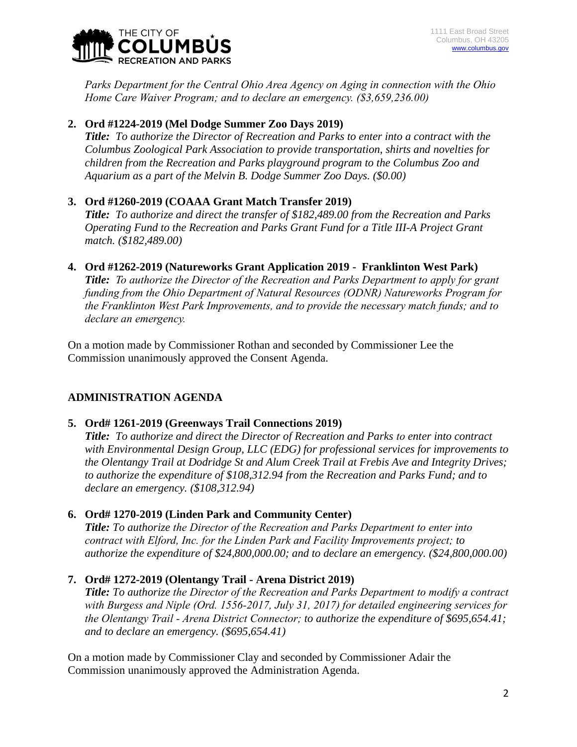

*Parks Department for the Central Ohio Area Agency on Aging in connection with the Ohio Home Care Waiver Program; and to declare an emergency. (\$3,659,236.00)*

# **2. Ord #1224-2019 (Mel Dodge Summer Zoo Days 2019)**

*Title: To authorize the Director of Recreation and Parks to enter into a contract with the Columbus Zoological Park Association to provide transportation, shirts and novelties for children from the Recreation and Parks playground program to the Columbus Zoo and Aquarium as a part of the Melvin B. Dodge Summer Zoo Days. (\$0.00)*

### **3. Ord #1260-2019 (COAAA Grant Match Transfer 2019)**

*Title: To authorize and direct the transfer of \$182,489.00 from the Recreation and Parks Operating Fund to the Recreation and Parks Grant Fund for a Title III-A Project Grant match. (\$182,489.00)*

# **4. Ord #1262-2019 (Natureworks Grant Application 2019 - Franklinton West Park)**

*Title: To authorize the Director of the Recreation and Parks Department to apply for grant funding from the Ohio Department of Natural Resources (ODNR) Natureworks Program for the Franklinton West Park Improvements, and to provide the necessary match funds; and to declare an emergency.*

On a motion made by Commissioner Rothan and seconded by Commissioner Lee the Commission unanimously approved the Consent Agenda.

# **ADMINISTRATION AGENDA**

# **5. Ord# 1261-2019 (Greenways Trail Connections 2019)**

*Title: To authorize and direct the Director of Recreation and Parks to enter into contract with Environmental Design Group, LLC (EDG) for professional services for improvements to the Olentangy Trail at Dodridge St and Alum Creek Trail at Frebis Ave and Integrity Drives; to authorize the expenditure of \$108,312.94 from the Recreation and Parks Fund; and to declare an emergency. (\$108,312.94)*

# **6. Ord# 1270-2019 (Linden Park and Community Center)**

*Title: To authorize the Director of the Recreation and Parks Department to enter into contract with Elford, Inc. for the Linden Park and Facility Improvements project; to authorize the expenditure of \$24,800,000.00; and to declare an emergency. (\$24,800,000.00)*

# **7. Ord# 1272-2019 (Olentangy Trail - Arena District 2019)**

*Title: To authorize the Director of the Recreation and Parks Department to modify a contract with Burgess and Niple (Ord. 1556-2017, July 31, 2017) for detailed engineering services for the Olentangy Trail - Arena District Connector; to authorize the expenditure of \$695,654.41; and to declare an emergency. (\$695,654.41)*

On a motion made by Commissioner Clay and seconded by Commissioner Adair the Commission unanimously approved the Administration Agenda.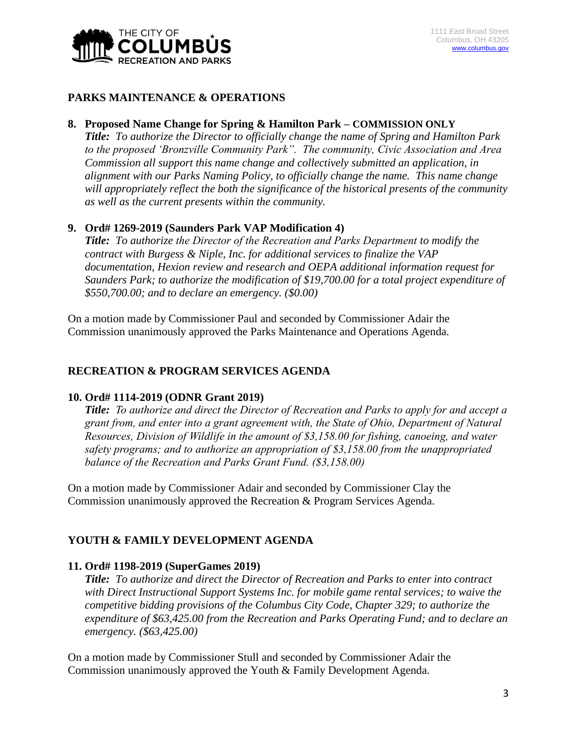

#### **PARKS MAINTENANCE & OPERATIONS**

### **8. Proposed Name Change for Spring & Hamilton Park – COMMISSION ONLY**

*Title: To authorize the Director to officially change the name of Spring and Hamilton Park to the proposed 'Bronzville Community Park". The community, Civic Association and Area Commission all support this name change and collectively submitted an application, in alignment with our Parks Naming Policy, to officially change the name. This name change will appropriately reflect the both the significance of the historical presents of the community as well as the current presents within the community.*

### **9. Ord# 1269-2019 (Saunders Park VAP Modification 4)**

*Title: To authorize the Director of the Recreation and Parks Department to modify the contract with Burgess & Niple, Inc. for additional services to finalize the VAP documentation, Hexion review and research and OEPA additional information request for Saunders Park; to authorize the modification of \$19,700.00 for a total project expenditure of \$550,700.00; and to declare an emergency. (\$0.00)*

On a motion made by Commissioner Paul and seconded by Commissioner Adair the Commission unanimously approved the Parks Maintenance and Operations Agenda.

#### **RECREATION & PROGRAM SERVICES AGENDA**

#### **10. Ord# 1114-2019 (ODNR Grant 2019)**

*Title: To authorize and direct the Director of Recreation and Parks to apply for and accept a grant from, and enter into a grant agreement with, the State of Ohio, Department of Natural Resources, Division of Wildlife in the amount of \$3,158.00 for fishing, canoeing, and water safety programs; and to authorize an appropriation of \$3,158.00 from the unappropriated balance of the Recreation and Parks Grant Fund. (\$3,158.00)*

On a motion made by Commissioner Adair and seconded by Commissioner Clay the Commission unanimously approved the Recreation & Program Services Agenda.

#### **YOUTH & FAMILY DEVELOPMENT AGENDA**

#### **11. Ord# 1198-2019 (SuperGames 2019)**

*Title: To authorize and direct the Director of Recreation and Parks to enter into contract with Direct Instructional Support Systems Inc. for mobile game rental services; to waive the competitive bidding provisions of the Columbus City Code, Chapter 329; to authorize the expenditure of \$63,425.00 from the Recreation and Parks Operating Fund; and to declare an emergency. (\$63,425.00)*

On a motion made by Commissioner Stull and seconded by Commissioner Adair the Commission unanimously approved the Youth & Family Development Agenda.